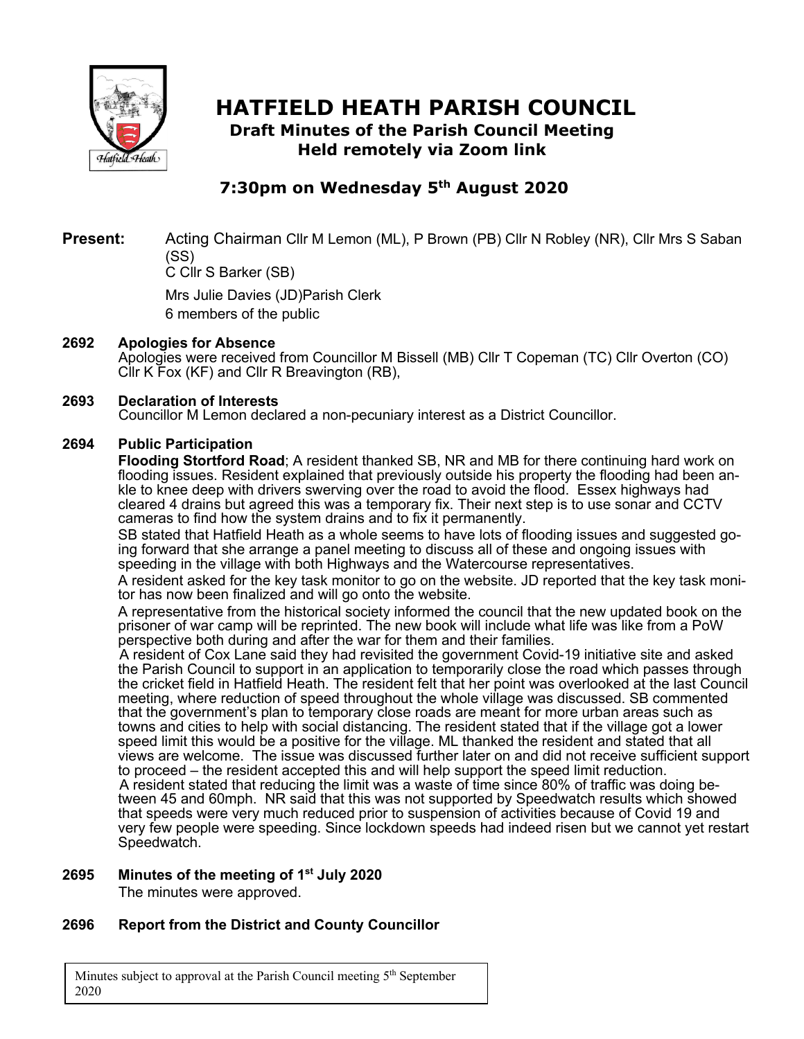

# **HATFIELD HEATH PARISH COUNCIL**

**Draft Minutes of the Parish Council Meeting Held remotely via Zoom link**

# **7:30pm on Wednesday 5th August 2020**

**Present:** Acting Chairman Cllr M Lemon (ML), P Brown (PB) Cllr N Robley (NR), Cllr Mrs S Saban (SS)

C Cllr S Barker (SB)

Mrs Julie Davies (JD)Parish Clerk 6 members of the public

#### **2692 Apologies for Absence**

Apologies were received from Councillor M Bissell (MB) Cllr T Copeman (TC) Cllr Overton (CO) Cllr K Fox (KF) and Cllr R Breavington (RB),

#### **2693 Declaration of Interests**

Councillor M Lemon declared a non-pecuniary interest as a District Councillor.

#### **2694 Public Participation**

**Flooding Stortford Road**; A resident thanked SB, NR and MB for there continuing hard work on flooding issues. Resident explained that previously outside his property the flooding had been ankle to knee deep with drivers swerving over the road to avoid the flood. Essex highways had cleared 4 drains but agreed this was a temporary fix. Their next step is to use sonar and CCTV cameras to find how the system drains and to fix it permanently.

SB stated that Hatfield Heath as a whole seems to have lots of flooding issues and suggested going forward that she arrange a panel meeting to discuss all of these and ongoing issues with speeding in the village with both Highways and the Watercourse representatives.

A resident asked for the key task monitor to go on the website. JD reported that the key task monitor has now been finalized and will go onto the website.

A representative from the historical society informed the council that the new updated book on the prisoner of war camp will be reprinted. The new book will include what life was like from a PoW perspective both during and after the war for them and their families.

A resident of Cox Lane said they had revisited the government Covid-19 initiative site and asked the Parish Council to support in an application to temporarily close the road which passes through the cricket field in Hatfield Heath. The resident felt that her point was overlooked at the last Council meeting, where reduction of speed throughout the whole village was discussed. SB commented that the government's plan to temporary close roads are meant for more urban areas such as towns and cities to help with social distancing. The resident stated that if the village got a lower speed limit this would be a positive for the village. ML thanked the resident and stated that all views are welcome. The issue was discussed further later on and did not receive sufficient support to proceed – the resident accepted this and will help support the speed limit reduction. A resident stated that reducing the limit was a waste of time since 80% of traffic was doing between 45 and 60mph. NR said that this was not supported by Speedwatch results which showed that speeds were very much reduced prior to suspension of activities because of Covid 19 and very few people were speeding. Since lockdown speeds had indeed risen but we cannot yet restart Speedwatch.

#### **2695 Minutes of the meeting of 1st July 2020**

The minutes were approved.

#### **2696 Report from the District and County Councillor**

Minutes subject to approval at the Parish Council meeting  $5<sup>th</sup>$  September 2020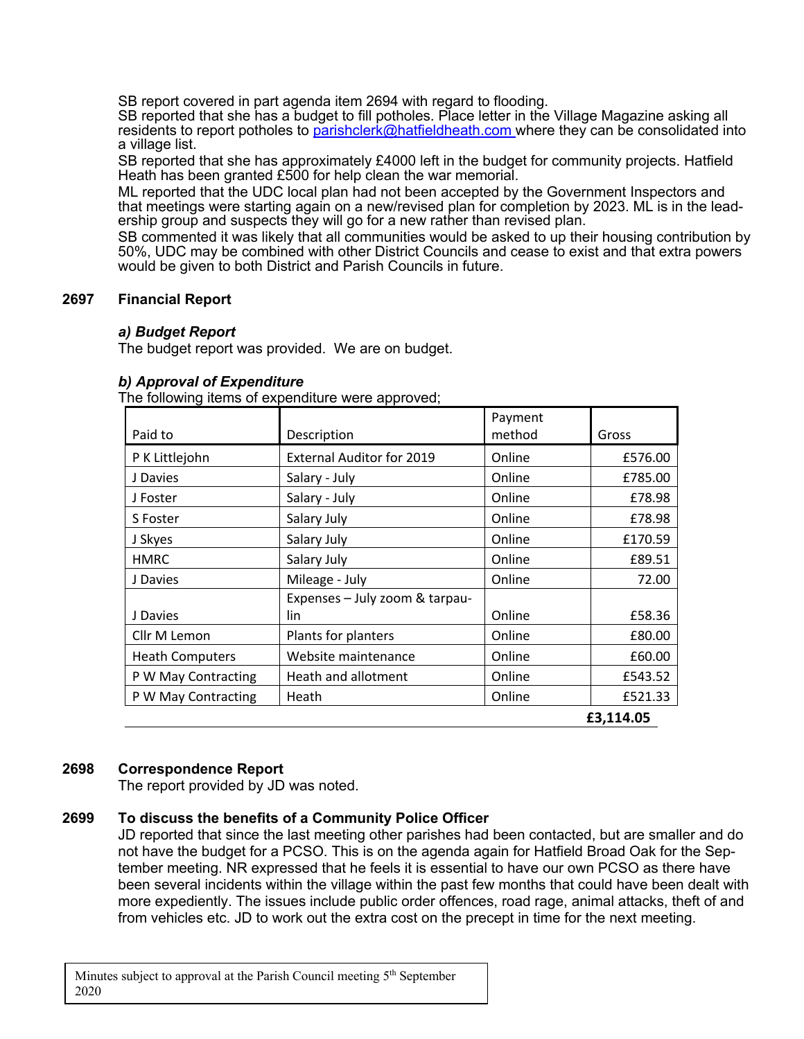SB report covered in part agenda item 2694 with regard to flooding.

SB reported that she has a budget to fill potholes. Place letter in the Village Magazine asking all residents to report potholes to parishclerk@hatfieldheath.com where they can be consolidated into a village list.

SB reported that she has approximately £4000 left in the budget for community projects. Hatfield Heath has been granted £500 for help clean the war memorial.

ML reported that the UDC local plan had not been accepted by the Government Inspectors and that meetings were starting again on a new/revised plan for completion by 2023. ML is in the leadership group and suspects they will go for a new rather than revised plan.

SB commented it was likely that all communities would be asked to up their housing contribution by 50%, UDC may be combined with other District Councils and cease to exist and that extra powers would be given to both District and Parish Councils in future.

#### **2697 Financial Report**

#### *a) Budget Report*

The budget report was provided. We are on budget.

| Paid to                | Description                           | Payment<br>method | Gross   |
|------------------------|---------------------------------------|-------------------|---------|
| P K Littlejohn         | <b>External Auditor for 2019</b>      | Online            | £576.00 |
| J Davies               | Salary - July                         | Online            | £785.00 |
| J Foster               | Salary - July                         | Online            | £78.98  |
| S Foster               | Salary July                           | Online            | £78.98  |
| J Skyes                | Salary July                           | Online            | £170.59 |
| <b>HMRC</b>            | Salary July                           | Online            | £89.51  |
| J Davies               | Mileage - July                        | Online            | 72.00   |
| J Davies               | Expenses - July zoom & tarpau-<br>lin | Online            | £58.36  |
| Cllr M Lemon           | Plants for planters                   | Online            | £80.00  |
| <b>Heath Computers</b> | Website maintenance                   | Online            | £60.00  |
| P W May Contracting    | Heath and allotment                   | Online            | £543.52 |
| P W May Contracting    | Heath                                 | Online            | £521.33 |
| £3,114.05              |                                       |                   |         |

#### *b) Approval of Expenditure*

The following items of expenditure were approved;

#### **2698 Correspondence Report**

The report provided by JD was noted.

#### **2699 To discuss the benefits of a Community Police Officer**

JD reported that since the last meeting other parishes had been contacted, but are smaller and do not have the budget for a PCSO. This is on the agenda again for Hatfield Broad Oak for the September meeting. NR expressed that he feels it is essential to have our own PCSO as there have been several incidents within the village within the past few months that could have been dealt with more expediently. The issues include public order offences, road rage, animal attacks, theft of and from vehicles etc. JD to work out the extra cost on the precept in time for the next meeting.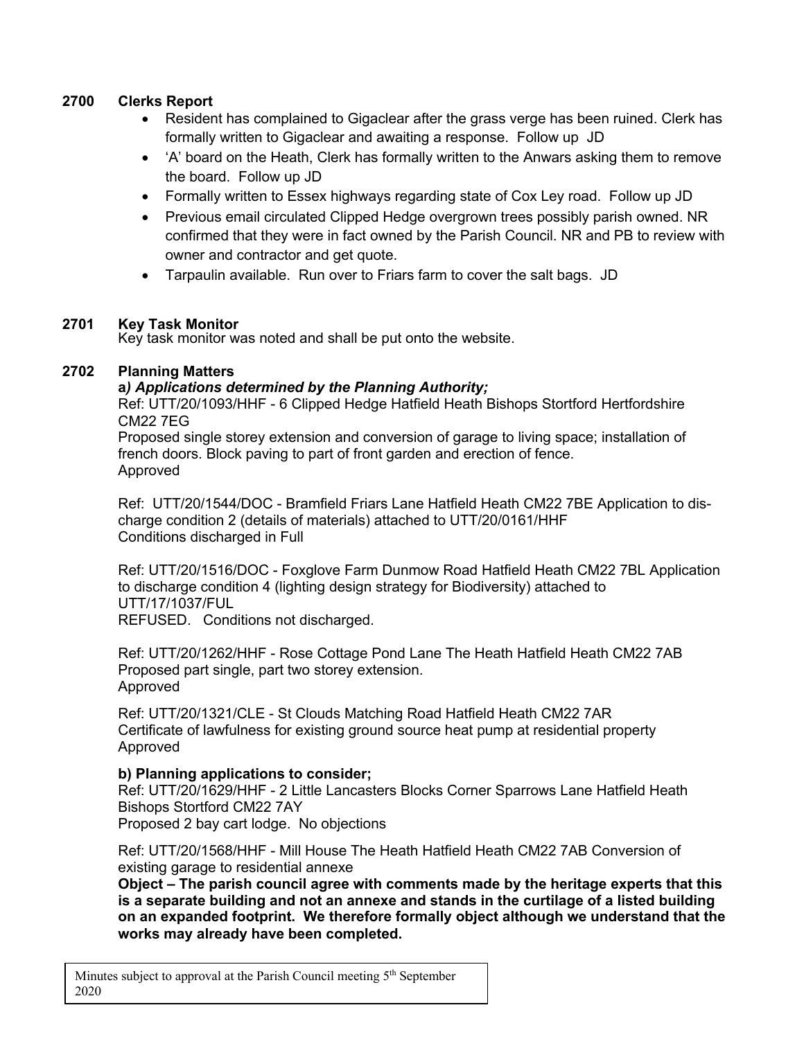#### **2700 Clerks Report**

- Resident has complained to Gigaclear after the grass verge has been ruined. Clerk has formally written to Gigaclear and awaiting a response. Follow up JD
- 'A' board on the Heath, Clerk has formally written to the Anwars asking them to remove the board. Follow up JD
- Formally written to Essex highways regarding state of Cox Ley road. Follow up JD
- Previous email circulated Clipped Hedge overgrown trees possibly parish owned. NR confirmed that they were in fact owned by the Parish Council. NR and PB to review with owner and contractor and get quote.
- Tarpaulin available. Run over to Friars farm to cover the salt bags. JD

#### **2701 Key Task Monitor**

Key task monitor was noted and shall be put onto the website.

#### **2702 Planning Matters**

#### **a***) Applications determined by the Planning Authority;*

Ref: UTT/20/1093/HHF - 6 Clipped Hedge Hatfield Heath Bishops Stortford Hertfordshire CM22 7EG

Proposed single storey extension and conversion of garage to living space; installation of french doors. Block paving to part of front garden and erection of fence. Approved

Ref: UTT/20/1544/DOC - Bramfield Friars Lane Hatfield Heath CM22 7BE Application to discharge condition 2 (details of materials) attached to UTT/20/0161/HHF Conditions discharged in Full

Ref: UTT/20/1516/DOC - Foxglove Farm Dunmow Road Hatfield Heath CM22 7BL Application to discharge condition 4 (lighting design strategy for Biodiversity) attached to UTT/17/1037/FUL

REFUSED. Conditions not discharged.

Ref: UTT/20/1262/HHF - Rose Cottage Pond Lane The Heath Hatfield Heath CM22 7AB Proposed part single, part two storey extension. Approved

Ref: UTT/20/1321/CLE - St Clouds Matching Road Hatfield Heath CM22 7AR Certificate of lawfulness for existing ground source heat pump at residential property Approved

#### **b) Planning applications to consider;**

Ref: UTT/20/1629/HHF - 2 Little Lancasters Blocks Corner Sparrows Lane Hatfield Heath Bishops Stortford CM22 7AY Proposed 2 bay cart lodge. No objections

Ref: UTT/20/1568/HHF - Mill House The Heath Hatfield Heath CM22 7AB Conversion of existing garage to residential annexe

**Object – The parish council agree with comments made by the heritage experts that this is a separate building and not an annexe and stands in the curtilage of a listed building on an expanded footprint. We therefore formally object although we understand that the works may already have been completed.**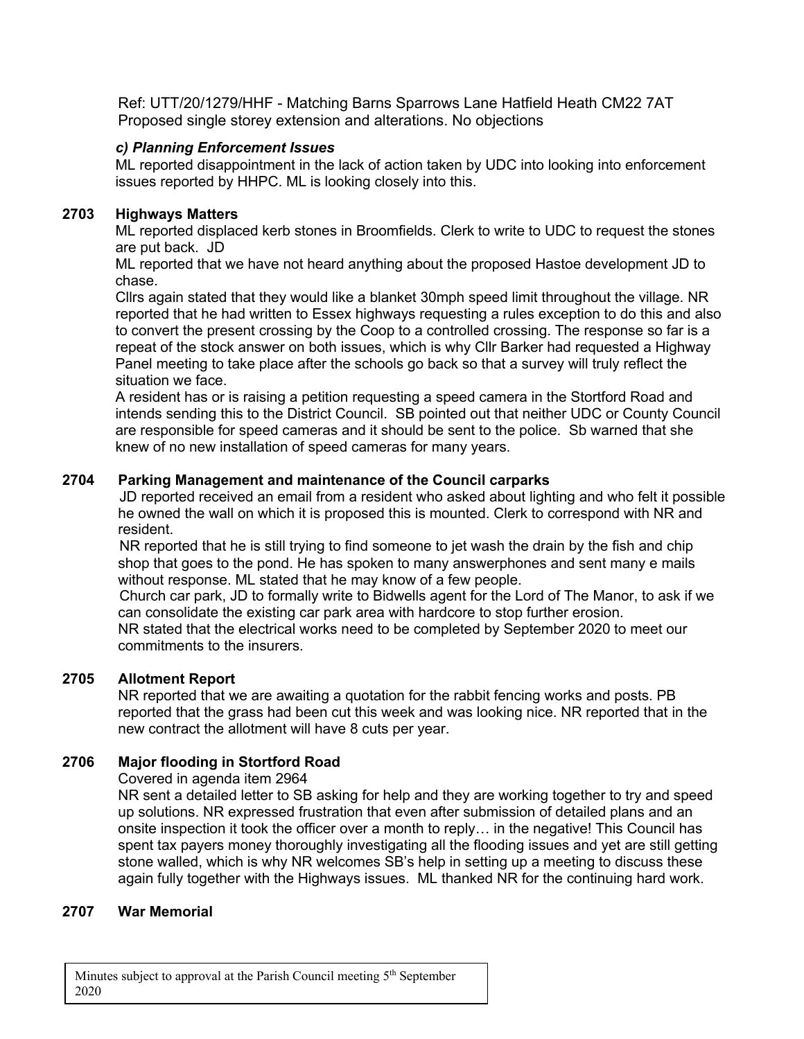Ref: UTT/20/1279/HHF - Matching Barns Sparrows Lane Hatfield Heath CM22 7AT Proposed single storey extension and alterations. No objections

#### *c) Planning Enforcement Issues*

ML reported disappointment in the lack of action taken by UDC into looking into enforcement issues reported by HHPC. ML is looking closely into this.

#### **2703 Highways Matters**

ML reported displaced kerb stones in Broomfields. Clerk to write to UDC to request the stones are put back. JD

ML reported that we have not heard anything about the proposed Hastoe development JD to chase.

Cllrs again stated that they would like a blanket 30mph speed limit throughout the village. NR reported that he had written to Essex highways requesting a rules exception to do this and also to convert the present crossing by the Coop to a controlled crossing. The response so far is a repeat of the stock answer on both issues, which is why Cllr Barker had requested a Highway Panel meeting to take place after the schools go back so that a survey will truly reflect the situation we face.

A resident has or is raising a petition requesting a speed camera in the Stortford Road and intends sending this to the District Council. SB pointed out that neither UDC or County Council are responsible for speed cameras and it should be sent to the police. Sb warned that she knew of no new installation of speed cameras for many years.

#### **2704 Parking Management and maintenance of the Council carparks**

JD reported received an email from a resident who asked about lighting and who felt it possible he owned the wall on which it is proposed this is mounted. Clerk to correspond with NR and resident.

NR reported that he is still trying to find someone to jet wash the drain by the fish and chip shop that goes to the pond. He has spoken to many answerphones and sent many e mails without response. ML stated that he may know of a few people.

Church car park, JD to formally write to Bidwells agent for the Lord of The Manor, to ask if we can consolidate the existing car park area with hardcore to stop further erosion. NR stated that the electrical works need to be completed by September 2020 to meet our commitments to the insurers.

#### **2705 Allotment Report**

NR reported that we are awaiting a quotation for the rabbit fencing works and posts. PB reported that the grass had been cut this week and was looking nice. NR reported that in the new contract the allotment will have 8 cuts per year.

#### **2706 Major flooding in Stortford Road**

Covered in agenda item 2964

NR sent a detailed letter to SB asking for help and they are working together to try and speed up solutions. NR expressed frustration that even after submission of detailed plans and an onsite inspection it took the officer over a month to reply… in the negative! This Council has spent tax payers money thoroughly investigating all the flooding issues and yet are still getting stone walled, which is why NR welcomes SB's help in setting up a meeting to discuss these again fully together with the Highways issues. ML thanked NR for the continuing hard work.

#### **2707 War Memorial**

Minutes subject to approval at the Parish Council meeting  $5<sup>th</sup>$  September 2020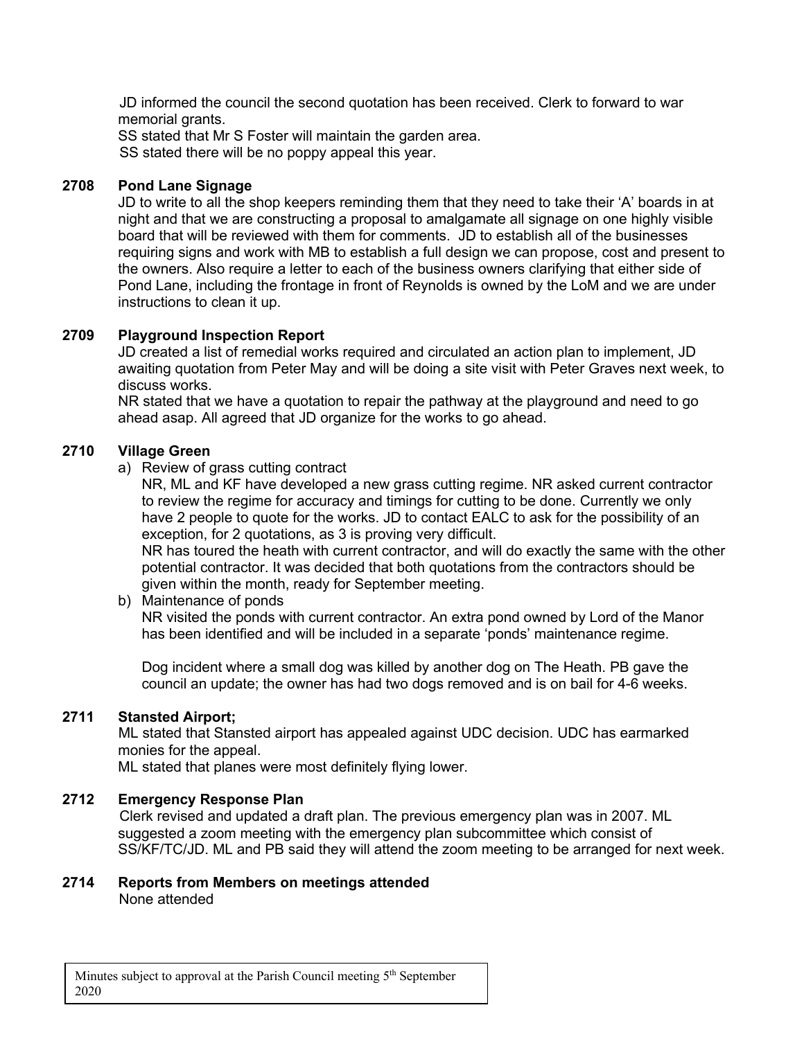JD informed the council the second quotation has been received. Clerk to forward to war memorial grants.

SS stated that Mr S Foster will maintain the garden area. SS stated there will be no poppy appeal this year.

#### **2708 Pond Lane Signage**

JD to write to all the shop keepers reminding them that they need to take their 'A' boards in at night and that we are constructing a proposal to amalgamate all signage on one highly visible board that will be reviewed with them for comments. JD to establish all of the businesses requiring signs and work with MB to establish a full design we can propose, cost and present to the owners. Also require a letter to each of the business owners clarifying that either side of Pond Lane, including the frontage in front of Reynolds is owned by the LoM and we are under instructions to clean it up.

#### **2709 Playground Inspection Report**

JD created a list of remedial works required and circulated an action plan to implement, JD awaiting quotation from Peter May and will be doing a site visit with Peter Graves next week, to discuss works.

NR stated that we have a quotation to repair the pathway at the playground and need to go ahead asap. All agreed that JD organize for the works to go ahead.

#### **2710 Village Green**

a) Review of grass cutting contract

NR, ML and KF have developed a new grass cutting regime. NR asked current contractor to review the regime for accuracy and timings for cutting to be done. Currently we only have 2 people to quote for the works. JD to contact EALC to ask for the possibility of an exception, for 2 quotations, as 3 is proving very difficult.

NR has toured the heath with current contractor, and will do exactly the same with the other potential contractor. It was decided that both quotations from the contractors should be given within the month, ready for September meeting.

#### b) Maintenance of ponds

NR visited the ponds with current contractor. An extra pond owned by Lord of the Manor has been identified and will be included in a separate 'ponds' maintenance regime.

Dog incident where a small dog was killed by another dog on The Heath. PB gave the council an update; the owner has had two dogs removed and is on bail for 4-6 weeks.

#### **2711 Stansted Airport;**

ML stated that Stansted airport has appealed against UDC decision. UDC has earmarked monies for the appeal.

ML stated that planes were most definitely flying lower.

#### **2712 Emergency Response Plan**

Clerk revised and updated a draft plan. The previous emergency plan was in 2007. ML suggested a zoom meeting with the emergency plan subcommittee which consist of SS/KF/TC/JD. ML and PB said they will attend the zoom meeting to be arranged for next week.

#### **2714 Reports from Members on meetings attended** None attended

Minutes subject to approval at the Parish Council meeting  $5<sup>th</sup>$  September 2020